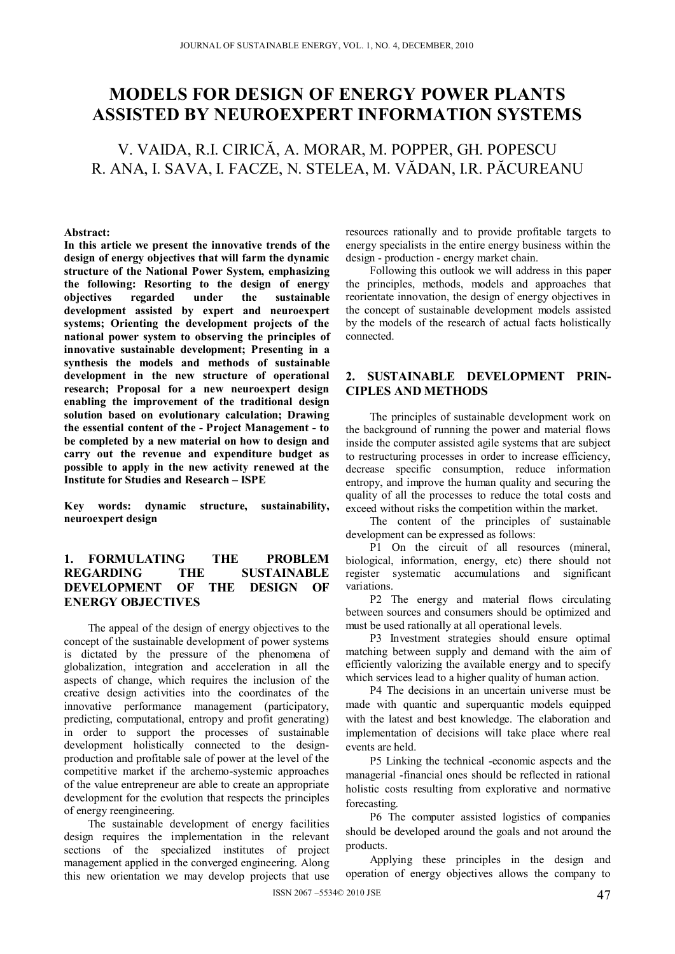# **MODELS FOR DESIGN OF ENERGY POWER PLANTS ASSISTED BY NEUROEXPERT INFORMATION SYSTEMS**

V. VAIDA, R.I. CIRICĂ, A. MORAR, M. POPPER, GH. POPESCU R. ANA, I. SAVA, I. FACZE, N. STELEA, M. VĂDAN, I.R. PĂCUREANU

#### **Abstract:**

**In this article we present the innovative trends of the design of energy objectives that will farm the dynamic structure of the National Power System, emphasizing the following: Resorting to the design of energy objectives regarded under the sustainable development assisted by expert and neuroexpert systems; Orienting the development projects of the national power system to observing the principles of innovative sustainable development; Presenting in a synthesis the models and methods of sustainable development in the new structure of operational research; Proposal for a new neuroexpert design enabling the improvement of the traditional design solution based on evolutionary calculation; Drawing the essential content of the - Project Management - to be completed by a new material on how to design and carry out the revenue and expenditure budget as possible to apply in the new activity renewed at the Institute for Studies and Research – ISPE** 

**Key words: dynamic structure, sustainability, neuroexpert design** 

# **1. FORMULATING THE PROBLEM REGARDING THE SUSTAINABLE DEVELOPMENT OF THE DESIGN OF ENERGY OBJECTIVES**

The appeal of the design of energy objectives to the concept of the sustainable development of power systems is dictated by the pressure of the phenomena of globalization, integration and acceleration in all the aspects of change, which requires the inclusion of the creative design activities into the coordinates of the innovative performance management (participatory, predicting, computational, entropy and profit generating) in order to support the processes of sustainable development holistically connected to the designproduction and profitable sale of power at the level of the competitive market if the archemo-systemic approaches of the value entrepreneur are able to create an appropriate development for the evolution that respects the principles of energy reengineering.

The sustainable development of energy facilities design requires the implementation in the relevant sections of the specialized institutes of project management applied in the converged engineering. Along this new orientation we may develop projects that use resources rationally and to provide profitable targets to energy specialists in the entire energy business within the design - production - energy market chain.

Following this outlook we will address in this paper the principles, methods, models and approaches that reorientate innovation, the design of energy objectives in the concept of sustainable development models assisted by the models of the research of actual facts holistically connected.

## **2. SUSTAINABLE DEVELOPMENT PRIN-CIPLES AND METHODS**

The principles of sustainable development work on the background of running the power and material flows inside the computer assisted agile systems that are subject to restructuring processes in order to increase efficiency, decrease specific consumption, reduce information entropy, and improve the human quality and securing the quality of all the processes to reduce the total costs and exceed without risks the competition within the market.

The content of the principles of sustainable development can be expressed as follows:

P1 On the circuit of all resources (mineral, biological, information, energy, etc) there should not register systematic accumulations and significant variations.

P2 The energy and material flows circulating between sources and consumers should be optimized and must be used rationally at all operational levels.

P3 Investment strategies should ensure optimal matching between supply and demand with the aim of efficiently valorizing the available energy and to specify which services lead to a higher quality of human action.

P4 The decisions in an uncertain universe must be made with quantic and superquantic models equipped with the latest and best knowledge. The elaboration and implementation of decisions will take place where real events are held.

P5 Linking the technical -economic aspects and the managerial -financial ones should be reflected in rational holistic costs resulting from explorative and normative forecasting.

P6 The computer assisted logistics of companies should be developed around the goals and not around the products.

Applying these principles in the design and operation of energy objectives allows the company to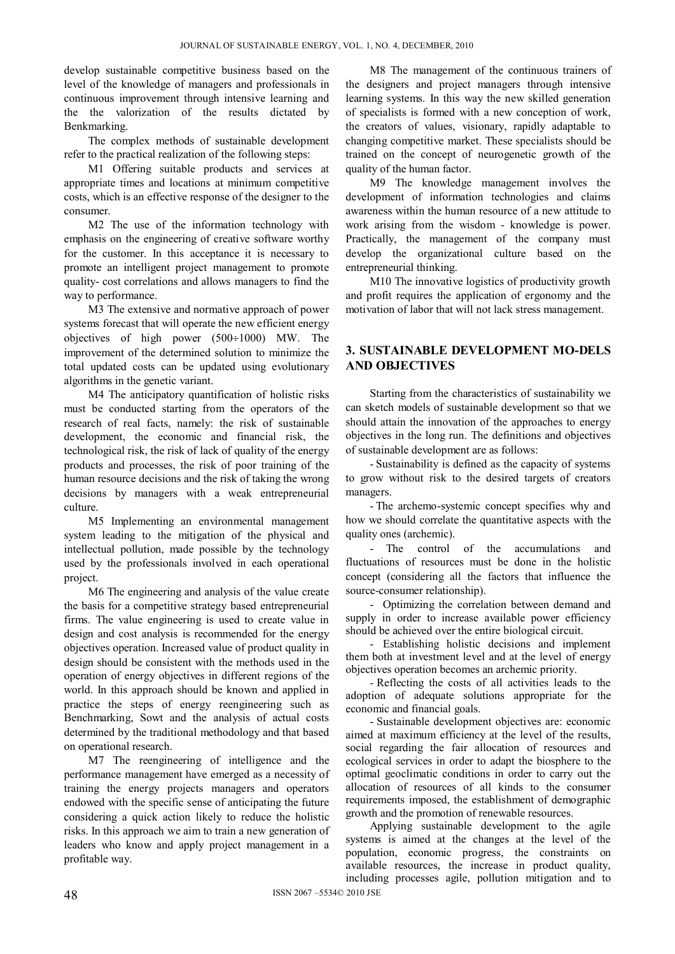develop sustainable competitive business based on the level of the knowledge of managers and professionals in continuous improvement through intensive learning and the the valorization of the results dictated by Benkmarking.

The complex methods of sustainable development refer to the practical realization of the following steps:

M1 Offering suitable products and services at appropriate times and locations at minimum competitive costs, which is an effective response of the designer to the consumer.

M2 The use of the information technology with emphasis on the engineering of creative software worthy for the customer. In this acceptance it is necessary to promote an intelligent project management to promote quality- cost correlations and allows managers to find the way to performance.

M3 The extensive and normative approach of power systems forecast that will operate the new efficient energy objectives of high power  $(500\div1000)$  MW. The improvement of the determined solution to minimize the total updated costs can be updated using evolutionary algorithms in the genetic variant.

M4 The anticipatory quantification of holistic risks must be conducted starting from the operators of the research of real facts, namely: the risk of sustainable development, the economic and financial risk, the technological risk, the risk of lack of quality of the energy products and processes, the risk of poor training of the human resource decisions and the risk of taking the wrong decisions by managers with a weak entrepreneurial culture.

M5 Implementing an environmental management system leading to the mitigation of the physical and intellectual pollution, made possible by the technology used by the professionals involved in each operational project.

M6 The engineering and analysis of the value create the basis for a competitive strategy based entrepreneurial firms. The value engineering is used to create value in design and cost analysis is recommended for the energy objectives operation. Increased value of product quality in design should be consistent with the methods used in the operation of energy objectives in different regions of the world. In this approach should be known and applied in practice the steps of energy reengineering such as Benchmarking, Sowt and the analysis of actual costs determined by the traditional methodology and that based on operational research.

M7 The reengineering of intelligence and the performance management have emerged as a necessity of training the energy projects managers and operators endowed with the specific sense of anticipating the future considering a quick action likely to reduce the holistic risks. In this approach we aim to train a new generation of leaders who know and apply project management in a profitable way.

M8 The management of the continuous trainers of the designers and project managers through intensive learning systems. In this way the new skilled generation of specialists is formed with a new conception of work, the creators of values, visionary, rapidly adaptable to changing competitive market. These specialists should be trained on the concept of neurogenetic growth of the quality of the human factor.

M9 The knowledge management involves the development of information technologies and claims awareness within the human resource of a new attitude to work arising from the wisdom - knowledge is power. Practically, the management of the company must develop the organizational culture based on the entrepreneurial thinking.

M10 The innovative logistics of productivity growth and profit requires the application of ergonomy and the motivation of labor that will not lack stress management.

# **3. SUSTAINABLE DEVELOPMENT MO-DELS AND OBJECTIVES**

Starting from the characteristics of sustainability we can sketch models of sustainable development so that we should attain the innovation of the approaches to energy objectives in the long run. The definitions and objectives of sustainable development are as follows:

- Sustainability is defined as the capacity of systems to grow without risk to the desired targets of creators managers.

- The archemo-systemic concept specifies why and how we should correlate the quantitative aspects with the quality ones (archemic).

- The control of the accumulations and fluctuations of resources must be done in the holistic concept (considering all the factors that influence the source-consumer relationship).

- Optimizing the correlation between demand and supply in order to increase available power efficiency should be achieved over the entire biological circuit.

- Establishing holistic decisions and implement them both at investment level and at the level of energy objectives operation becomes an archemic priority.

- Reflecting the costs of all activities leads to the adoption of adequate solutions appropriate for the economic and financial goals.

- Sustainable development objectives are: economic aimed at maximum efficiency at the level of the results, social regarding the fair allocation of resources and ecological services in order to adapt the biosphere to the optimal geoclimatic conditions in order to carry out the allocation of resources of all kinds to the consumer requirements imposed, the establishment of demographic growth and the promotion of renewable resources.

Applying sustainable development to the agile systems is aimed at the changes at the level of the population, economic progress, the constraints on available resources, the increase in product quality, including processes agile, pollution mitigation and to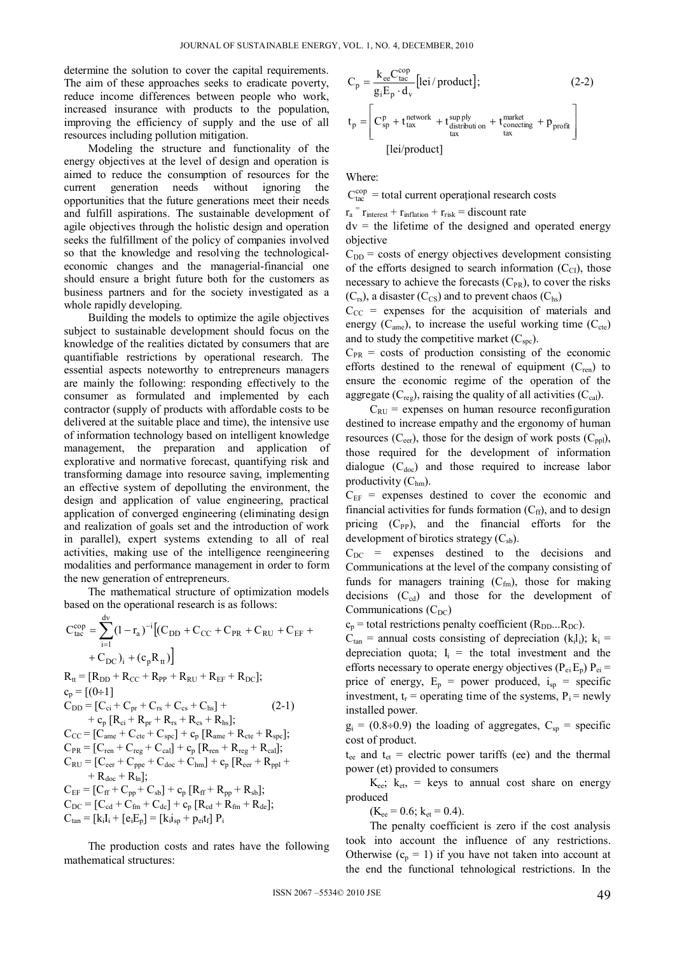determine the solution to cover the capital requirements. The aim of these approaches seeks to eradicate poverty, reduce income differences between people who work, increased insurance with products to the population, improving the efficiency of supply and the use of all resources including pollution mitigation.

Modeling the structure and functionality of the energy objectives at the level of design and operation is aimed to reduce the consumption of resources for the current generation needs without ignoring the opportunities that the future generations meet their needs and fulfill aspirations. The sustainable development of agile objectives through the holistic design and operation seeks the fulfillment of the policy of companies involved so that the knowledge and resolving the technologicaleconomic changes and the managerial-financial one should ensure a bright future both for the customers as business partners and for the society investigated as a whole rapidly developing.

Building the models to optimize the agile objectives subject to sustainable development should focus on the knowledge of the realities dictated by consumers that are quantifiable restrictions by operational research. The essential aspects noteworthy to entrepreneurs managers are mainly the following: responding effectively to the consumer as formulated and implemented by each contractor (supply of products with affordable costs to be delivered at the suitable place and time), the intensive use of information technology based on intelligent knowledge management, the preparation and application of explorative and normative forecast, quantifying risk and transforming damage into resource saving, implementing an effective system of depolluting the environment, the design and application of value engineering, practical application of converged engineering (eliminating design and realization of goals set and the introduction of work in parallel), expert systems extending to all of real activities, making use of the intelligence reengineering modalities and performance management in order to form the new generation of entrepreneurs.

The mathematical structure of optimization models based on the operational research is as follows:

$$
C_{tac}^{cop} = \sum_{i=1}^{dv} (1 - r_a)^{-i} [(C_{DD} + C_{CC} + C_{PR} + C_{RU} + C_{EF} + C_{DC})_i + (c_p R_{tt})]
$$
  
\n
$$
R_{tt} = [R_{DD} + R_{CC} + R_{PP} + R_{RU} + R_{EF} + R_{DC}];
$$
  
\n
$$
c_p = [(0-1]
$$
  
\n
$$
C_{DD} = [C_{ci} + C_{pr} + C_{rs} + C_{cs} + C_{hs}] + (2-1)
$$
  
\n
$$
+ c_p [R_{ci} + R_{pr} + R_{rs} + R_{cs} + R_{hs}];
$$
  
\n
$$
C_{CC} = [C_{ame} + C_{cte} + C_{spc}] + c_p [R_{ame} + R_{cte} + R_{spc}];
$$
  
\n
$$
C_{PR} = [C_{ren} + C_{reg} + C_{cal}] + c_p [R_{ren} + R_{reg} + R_{cal}];
$$
  
\n
$$
C_{RU} = [C_{cer} + C_{ppe} + C_{doc} + C_{hm}] + c_p [R_{cer} + R_{pp}] +
$$
  
\n
$$
+ R_{doc} + R_{ln}];
$$
  
\n
$$
C_{EC} = [C_{ci} + C_{fm} + C_{sb}] + c_p [R_{rf} + R_{pp} + R_{sb}];
$$
  
\n
$$
C_{DC} = [C_{cd} + C_{fm} + C_{ds}] + c_p [R_{cd} + R_{fm} + R_{de}];
$$
  
\n
$$
C_{tan} = [k_i I_i + [e_i E_p] = [k_i I_{sp} + p_{ei} t_f] P_i
$$

 The production costs and rates have the following mathematical structures:

$$
C_{p} = \frac{k_{ee}C_{tac}^{cop}}{g_{i}E_{p} \cdot d_{v}} [lei/produced]; \qquad (2-2)
$$
  

$$
t_{p} = \left[C_{sp}^{p} + t_{tax}^{network} + t_{distribution}^{supply}_{tax} + t_{conecting}^{market} + p_{profit} \right]
$$
  
[lei/produced]

Where:

 $C_{\text{tac}}^{\text{cop}}$  = total current operational research costs

 $r_a$ <sup>=</sup>  $r_{\text{interest}} + r_{\text{inflation}} + r_{\text{risk}} =$  discount rate

 $dv =$  the lifetime of the designed and operated energy objective

 $C_{DD}$  = costs of energy objectives development consisting of the efforts designed to search information  $(C_{Cl})$ , those necessary to achieve the forecasts  $(C_{PR})$ , to cover the risks  $(C_{rs})$ , a disaster  $(C_{cs})$  and to prevent chaos  $(C_{hs})$ 

 $C_{CC}$  = expenses for the acquisition of materials and energy  $(C_{\text{ame}})$ , to increase the useful working time  $(C_{\text{cte}})$ and to study the competitive market  $(C<sub>spc</sub>)$ .

 $C_{PR}$  = costs of production consisting of the economic efforts destined to the renewal of equipment  $(C_{ren})$  to ensure the economic regime of the operation of the aggregate  $(C_{\text{reg}})$ , raising the quality of all activities  $(C_{\text{cal}})$ .

 $C_{\text{RU}}$  = expenses on human resource reconfiguration destined to increase empathy and the ergonomy of human resources  $(C_{\text{eer}})$ , those for the design of work posts  $(C_{\text{pol}})$ , those required for the development of information dialogue  $(C_{doc})$  and those required to increase labor productivity  $(C<sub>hm</sub>)$ .

 $C_{EF}$  = expenses destined to cover the economic and financial activities for funds formation  $(C_{\text{ff}})$ , and to design pricing  $(C_{PP})$ , and the financial efforts for the development of birotics strategy  $(C_{sb})$ .

 $C_{DC}$  = expenses destined to the decisions and Communications at the level of the company consisting of funds for managers training  $(C_{fin})$ , those for making decisions  $(C_{cd})$  and those for the development of Communications  $(C_{DC})$ 

 $c_p$  = total restrictions penalty coefficient ( $R_{DD}...R_{DC}$ ).

 $C_{tan}$  = annual costs consisting of depreciation (k<sub>i</sub>l<sub>i</sub>); k<sub>i</sub> = depreciation quota;  $I_i$  = the total investment and the efforts necessary to operate energy objectives ( $P_{ei}E_p$ )  $P_{ei}$  = price of energy,  $E_p$  = power produced,  $i_{sp}$  = specific investment,  $t_r$  = operating time of the systems,  $P_i$  = newly installed power.

 $g_i = (0.8 \div 0.9)$  the loading of aggregates,  $C_{sp}$  = specific cost of product.

 $t_{ee}$  and  $t_{et}$  = electric power tariffs (ee) and the thermal power (et) provided to consumers

 $K_{ee}$ ;  $k_{et}$  = keys to annual cost share on energy produced

 $(K_{ee} = 0.6; k_{et} = 0.4).$ 

The penalty coefficient is zero if the cost analysis took into account the influence of any restrictions. Otherwise  $(c_p = 1)$  if you have not taken into account at the end the functional tehnological restrictions. In the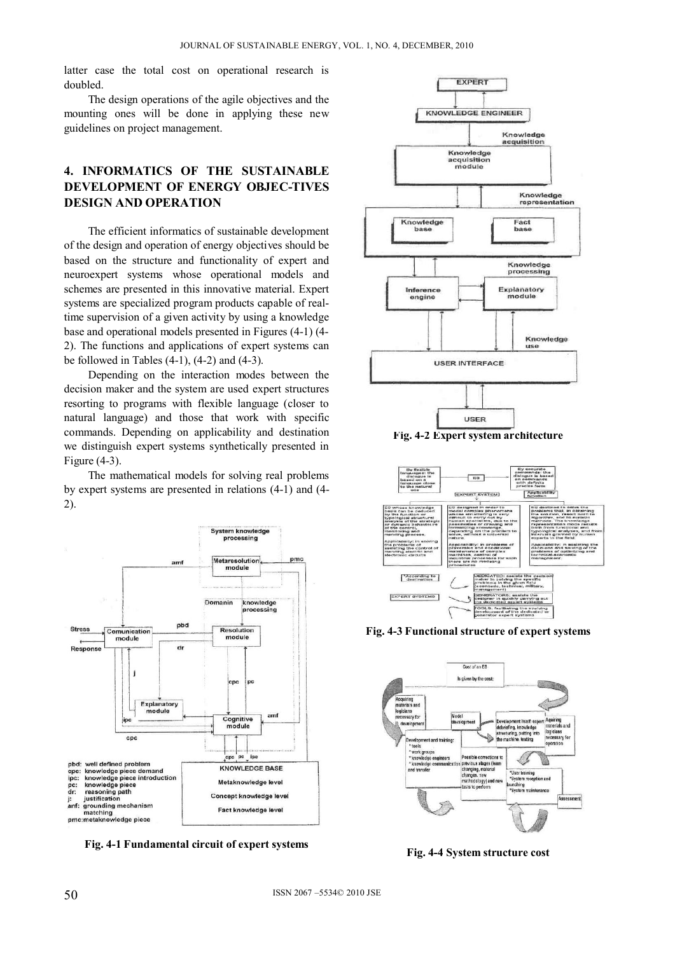latter case the total cost on operational research is doubled.

The design operations of the agile objectives and the mounting ones will be done in applying these new guidelines on project management.

# **4. INFORMATICS OF THE SUSTAINABLE DEVELOPMENT OF ENERGY OBJEC-TIVES DESIGN AND OPERATION**

The efficient informatics of sustainable development of the design and operation of energy objectives should be based on the structure and functionality of expert and neuroexpert systems whose operational models and schemes are presented in this innovative material. Expert systems are specialized program products capable of realtime supervision of a given activity by using a knowledge base and operational models presented in Figures (4-1) (4- 2). The functions and applications of expert systems can be followed in Tables (4-1), (4-2) and (4-3).

Depending on the interaction modes between the decision maker and the system are used expert structures resorting to programs with flexible language (closer to natural language) and those that work with specific commands. Depending on applicability and destination we distinguish expert systems synthetically presented in Figure (4-3).

 The mathematical models for solving real problems by expert systems are presented in relations (4-1) and (4- 2).



**Fig. 4-1 Fundamental circuit of expert systems** 





**Fig. 4-3 Functional structure of expert systems** 



**Fig. 4-4 System structure cost**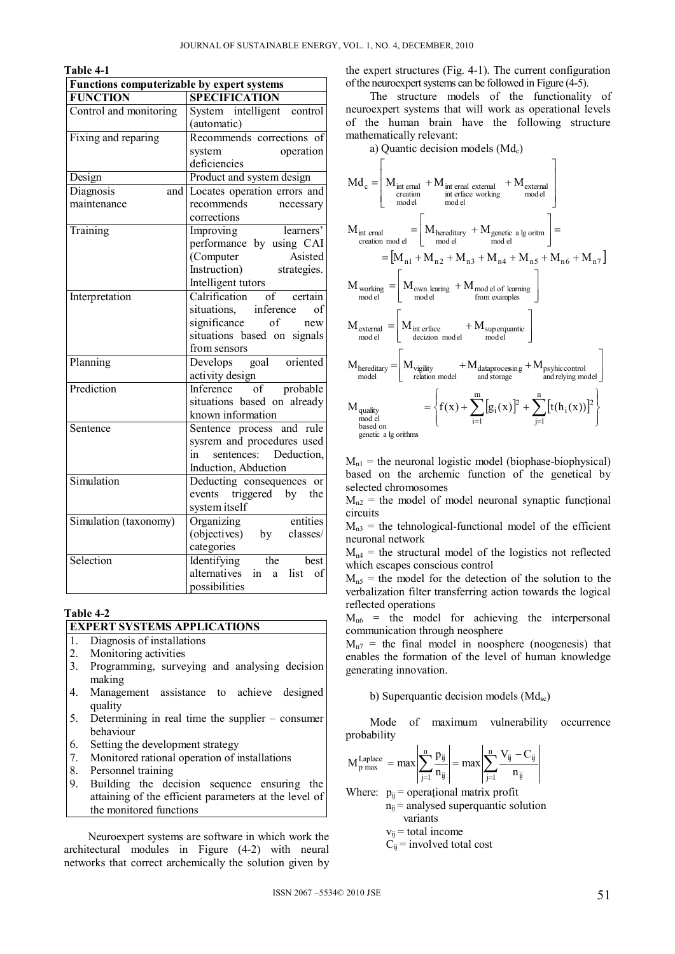| וחו<br>и<br>и |  |
|---------------|--|
|---------------|--|

| Functions computerizable by expert systems |                                                 |
|--------------------------------------------|-------------------------------------------------|
| <b>FUNCTION</b>                            | <b>SPECIFICATION</b>                            |
| Control and monitoring                     | System intelligent control                      |
|                                            | (automatic)                                     |
| Fixing and reparing                        | Recommends corrections of                       |
|                                            | operation<br>system                             |
|                                            | deficiencies                                    |
| Design                                     | Product and system design                       |
| Diagnosis                                  | and Locates operation errors and                |
| maintenance                                | recommends<br>necessary                         |
|                                            | corrections                                     |
| Training                                   | learners'<br>Improving                          |
|                                            | performance by using CAI                        |
|                                            | Computer<br>Asisted                             |
|                                            | Instruction)<br>strategies.                     |
|                                            | Intelligent tutors                              |
| Interpretation                             | Calrification of certain                        |
|                                            | situations, inference<br>of                     |
|                                            | significance of<br>new                          |
|                                            | situations based on signals                     |
|                                            | from sensors                                    |
| Planning                                   | goal<br>oriented<br>Develops                    |
|                                            | activity design                                 |
| Prediction                                 | Inference<br>$\overline{\text{of}}$<br>probable |
|                                            | situations based on already                     |
|                                            | known information                               |
| Sentence                                   | Sentence process and rule                       |
|                                            | sysrem and procedures used                      |
|                                            | Deduction,<br>sentences:<br>in                  |
|                                            | Induction, Abduction                            |
| Simulation                                 | Deducting consequences or                       |
|                                            | triggered by<br>events<br>the                   |
|                                            | system itself                                   |
| Simulation (taxonomy)                      | entities<br>Organizing                          |
|                                            | (objectives)<br>by classes/                     |
|                                            | categories                                      |
| Selection                                  | the<br>Identifying<br>best                      |
|                                            | alternatives<br>in<br>a<br>list<br>$\alpha$ f   |
|                                            | possibilities                                   |

#### **Table 4-2**

#### **EXPERT SYSTEMS APPLICATIONS**

- 1. Diagnosis of installations
- 2. Monitoring activities<br>3. Programming. surve
- Programming, surveying and analysing decision making
- 4. Management assistance to achieve designed quality
- 5. Determining in real time the supplier consumer behaviour
- 6. Setting the development strategy
- 7. Monitored rational operation of installations
- 8. Personnel training
- 9. Building the decision sequence ensuring the attaining of the efficient parameters at the level of the monitored functions

Neuroexpert systems are software in which work the architectural modules in Figure (4-2) with neural networks that correct archemically the solution given by

the expert structures (Fig. 4-1). The current configuration of the neuroexpert systems can be followed in Figure (4-5).

The structure models of the functionality of neuroexpert systems that will work as operational levels of the human brain have the following structure mathematically relevant:  $\frac{1}{2}$  decision models (Md)

 elmod external elmod workingerfaceint externalernalint elmod creation ernalintc MMMMd 7n6n5n4n3n2n1n elmod oritmlgagenetic elmod hereditary elmodcreation ernalint MMMMMMM MMM examplesfrom learningofelmod elmod learingown elmod working MMM elmod erquanticsup elmoddecizion erfaceint elmod external MMM elmodrelyingand controlpsyhic storageand gsindataproces elmodrelation vigility elmod hereditary MMMM m 1i n 1j 2 i 2 i orithmslgagenetic onbased elmod quality ))x(h(t)x(g)x(fM

 $M_{n_1}$  = the neuronal logistic model (biophase-biophysical) based on the archemic function of the genetical by selected chromosomes

 $M_{n2}$  = the model of model neuronal synaptic functional circuits

 $M<sub>n3</sub>$  = the tehnological-functional model of the efficient neuronal network

 $M_{n4}$  = the structural model of the logistics not reflected which escapes conscious control

 $M_{n5}$  = the model for the detection of the solution to the verbalization filter transferring action towards the logical reflected operations

 $M_{n6}$  = the model for achieving the interpersonal communication through neosphere

 $M_{n7}$  = the final model in noosphere (noogenesis) that enables the formation of the level of human knowledge generating innovation.

b) Superquantic decision models  $(Md_{sc})$ 

Mode of maximum vulnerability occurrence probability

$$
M_{p \max}^{\text{Laplace}} = \max \left| \sum_{j=1}^{n} \frac{p_{ij}}{n_{ij}} \right| = \max \left| \sum_{j=1}^{n} \frac{V_{ij} - C_{ij}}{n_{ij}} \right|
$$

Where:  $p_{ij}$  = operational matrix profit  $n_{ii}$  = analysed superquantic solution

variants

- $v_{ii}$  = total income
- $C_{ii}$  = involved total cost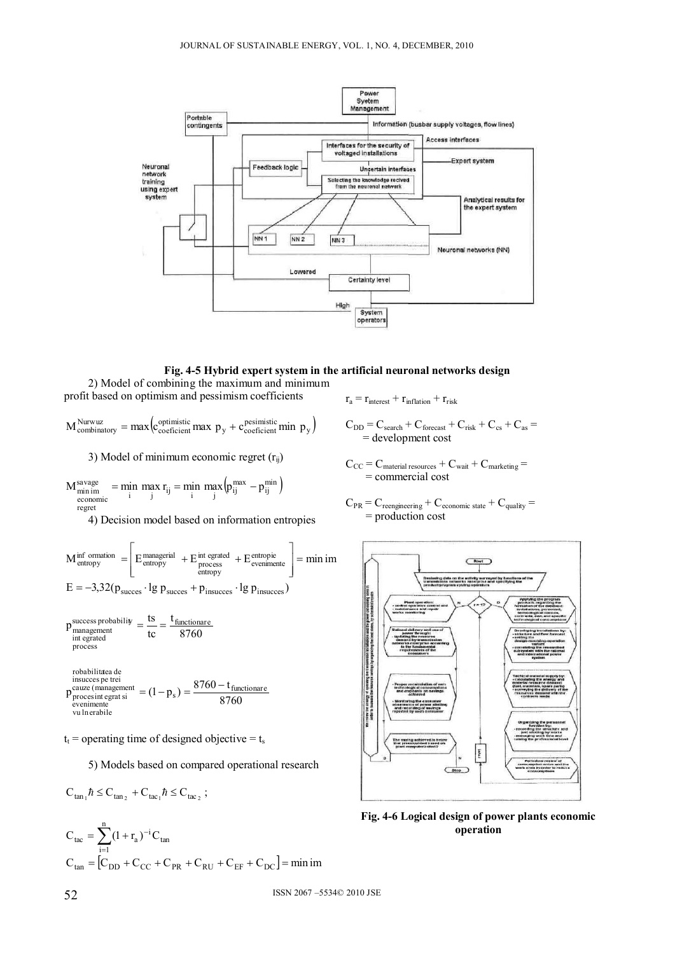

**Fig. 4-5 Hybrid expert system in the artificial neuronal networks design** 

2) Model of combining the maximum and minimum profit based on optimism and pessimism coefficients

 $M_{\text{combinatory}}^{\text{Nurwuz}} = \max\left(c_{\text{coefficient}}^{\text{optimistic}}\max p_y + c_{\text{coefficient}}^{\text{pesimistic}}\min p_y\right)$ 

3) Model of minimum economic regret  $(r_{ii})$ 

$$
M_{\substack{min\atop economic} \atop response}^{savage} = \min_{i} \max_{j} r_{ij} = \min_{i} \max_{j} \Bigl( p_{ij}^{max} - p_{ij}^{min} \Bigr)
$$

4) Decision model based on information entropies

$$
M_{entropy}^{inf~formation} = \left[ E_{entropy}^{mangerial} + E_{process}^{int.} + E_{evenimente}^{entropic} \right] = min~im
$$
  

$$
E = -3.32(p_{success} \cdot lg~p_{success} + p_{insuces} \cdot lg~p_{insuces})
$$

$$
p_{\text{management}}^{\text{success probability}} = \frac{\text{ts}}{\text{tc}} = \frac{t_{\text{functionare}}}{8760}
$$
\n
$$
p_{\text{process}}^{\text{indegrated}}
$$
\n
$$
p_{\text{process}}^{\text{incomplete}}
$$
\n
$$
p_{\text{success}}^{\text{incomplete}}
$$
\n
$$
p_{\text{inverse (manaement)}}^{\text{incomplete (mna segment)}}
$$
\n
$$
p_{\text{error}}^{\text{out} \times \text{infinite}} = 8760 - t_{\text{first}}
$$

8760 parace (management<br>  $p_{\text{process int} \text{ grad s}}^{\text{cauze (mangement)}} = (1-p_s) = \frac{8760 - t_{\text{functionare}}}{8760}$ vu lnerabile .<br>•venimente

 $t_t$  = operating time of designed objective =  $t_s$ 

5) Models based on compared operational research

$$
C_{tan1} \hbar \leq C_{tan2} + C_{tac1} \hbar \leq C_{tac2} ;
$$

 $C_{\text{tac}} = \sum_{i=1}^{n} (1 + r_{\text{a}})^{-i} C_{\text{tan}}$  $i=1$  $C_{tan} = [C_{DD} + C_{CC} + C_{PR} + C_{RU} + C_{EF} + C_{DC}] = min im$ 

$$
r_a = r_{\text{interest}} + r_{\text{inflation}} + r_{\text{risk}}
$$

 $C_{DD} = C_{search} + C_{forecast} + C_{risk} + C_{cs} + C_{as}$ = development cost

- $C_{CC} = C_{\text{material resources}} + C_{\text{wait}} + C_{\text{marketing}} =$ = commercial cost
- $C_{PR}$  =  $C_{reengineering}$  +  $C_{economic state}$  +  $C_{quality}$  = = production cost



**Fig. 4-6 Logical design of power plants economic operation**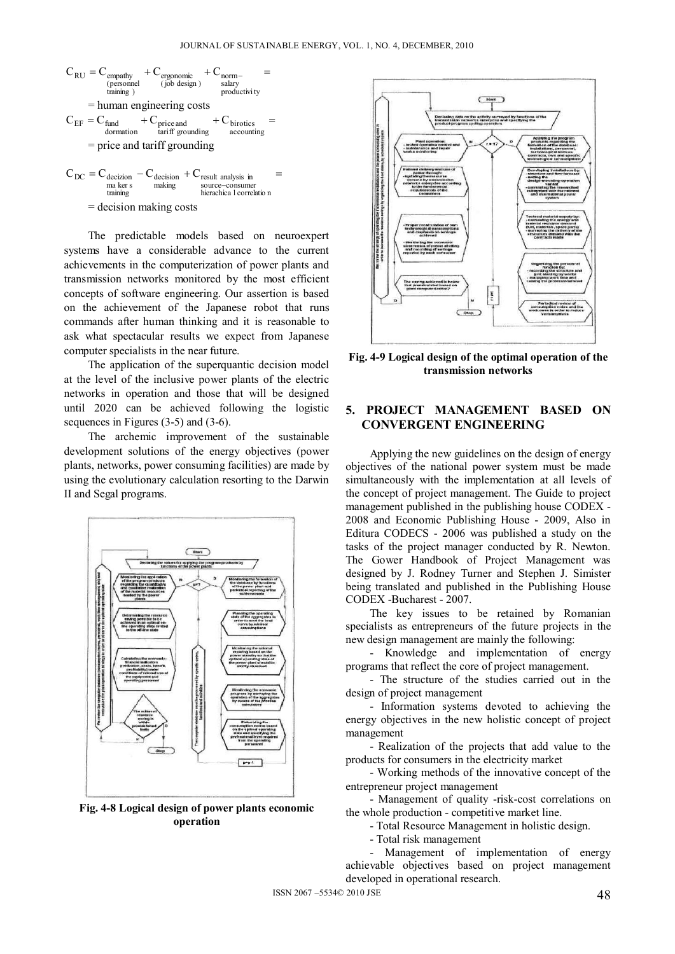

= decision making costs

The predictable models based on neuroexpert systems have a considerable advance to the current achievements in the computerization of power plants and transmission networks monitored by the most efficient concepts of software engineering. Our assertion is based on the achievement of the Japanese robot that runs commands after human thinking and it is reasonable to ask what spectacular results we expect from Japanese computer specialists in the near future.

The application of the superquantic decision model at the level of the inclusive power plants of the electric networks in operation and those that will be designed until 2020 can be achieved following the logistic sequences in Figures (3-5) and (3-6).

The archemic improvement of the sustainable development solutions of the energy objectives (power plants, networks, power consuming facilities) are made by using the evolutionary calculation resorting to the Darwin II and Segal programs.



**Fig. 4-8 Logical design of power plants economic operation** 



**Fig. 4-9 Logical design of the optimal operation of the transmission networks** 

#### **5. PROJECT MANAGEMENT BASED ON CONVERGENT ENGINEERING**

Applying the new guidelines on the design of energy objectives of the national power system must be made simultaneously with the implementation at all levels of the concept of project management. The Guide to project management published in the publishing house CODEX - 2008 and Economic Publishing House - 2009, Also in Editura CODECS - 2006 was published a study on the tasks of the project manager conducted by R. Newton. The Gower Handbook of Project Management was designed by J. Rodney Turner and Stephen J. Simister being translated and published in the Publishing House CODEX -Bucharest - 2007.

The key issues to be retained by Romanian specialists as entrepreneurs of the future projects in the new design management are mainly the following:

- Knowledge and implementation of energy programs that reflect the core of project management.

- The structure of the studies carried out in the design of project management

- Information systems devoted to achieving the energy objectives in the new holistic concept of project management

- Realization of the projects that add value to the products for consumers in the electricity market

- Working methods of the innovative concept of the entrepreneur project management

- Management of quality -risk-cost correlations on the whole production - competitive market line.

- Total Resource Management in holistic design.

- Total risk management

- Management of implementation of energy achievable objectives based on project management developed in operational research.